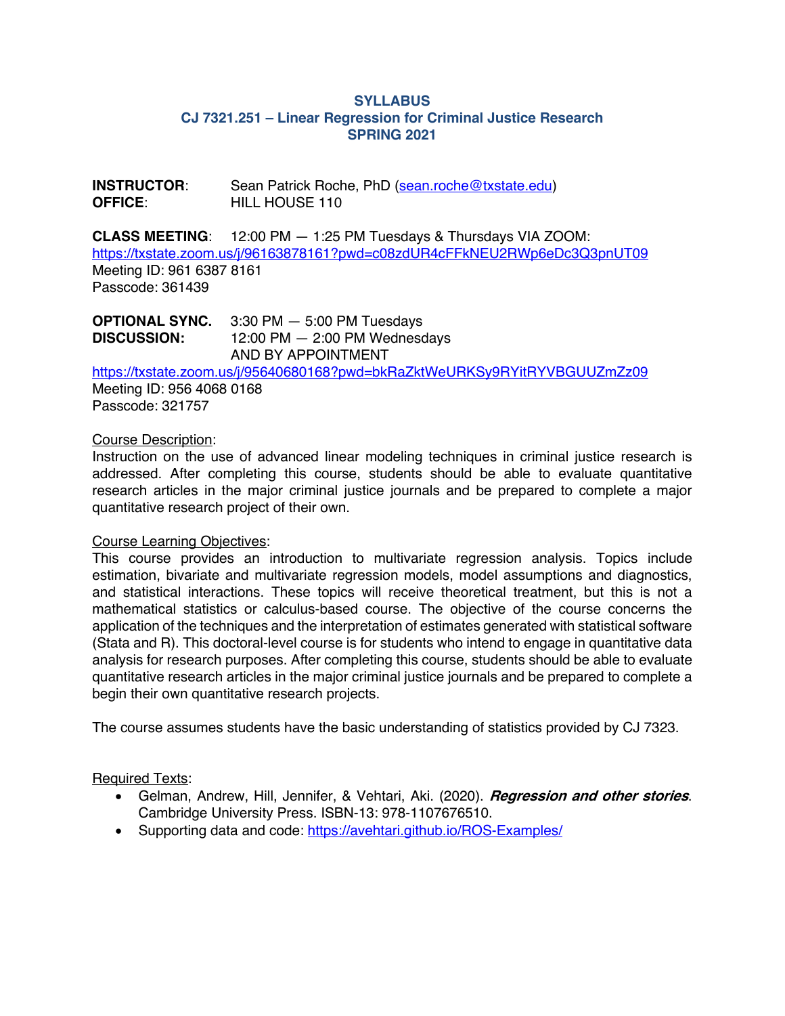# **SYLLABUS CJ 7321.251 – Linear Regression for Criminal Justice Research SPRING 2021**

**INSTRUCTOR**: Sean Patrick Roche, PhD (sean.roche@txstate.edu) **OFFICE:** HILL HOUSE 110

**CLASS MEETING**: 12:00 PM — 1:25 PM Tuesdays & Thursdays VIA ZOOM: https://txstate.zoom.us/j/96163878161?pwd=c08zdUR4cFFkNEU2RWp6eDc3Q3pnUT09 Meeting ID: 961 6387 8161 Passcode: 361439

**OPTIONAL SYNC.** 3:30 PM — 5:00 PM Tuesdays **DISCUSSION:** 12:00 PM — 2:00 PM Wednesdays AND BY APPOINTMENT

https://txstate.zoom.us/j/95640680168?pwd=bkRaZktWeURKSy9RYitRYVBGUUZmZz09

Meeting ID: 956 4068 0168 Passcode: 321757

### Course Description:

Instruction on the use of advanced linear modeling techniques in criminal justice research is addressed. After completing this course, students should be able to evaluate quantitative research articles in the major criminal justice journals and be prepared to complete a major quantitative research project of their own.

### Course Learning Objectives:

This course provides an introduction to multivariate regression analysis. Topics include estimation, bivariate and multivariate regression models, model assumptions and diagnostics, and statistical interactions. These topics will receive theoretical treatment, but this is not a mathematical statistics or calculus-based course. The objective of the course concerns the application of the techniques and the interpretation of estimates generated with statistical software (Stata and R). This doctoral-level course is for students who intend to engage in quantitative data analysis for research purposes. After completing this course, students should be able to evaluate quantitative research articles in the major criminal justice journals and be prepared to complete a begin their own quantitative research projects.

The course assumes students have the basic understanding of statistics provided by CJ 7323.

# Required Texts:

- Gelman, Andrew, Hill, Jennifer, & Vehtari, Aki. (2020). **Regression and other stories**. Cambridge University Press. ISBN-13: 978-1107676510.
- Supporting data and code: https://avehtari.github.io/ROS-Examples/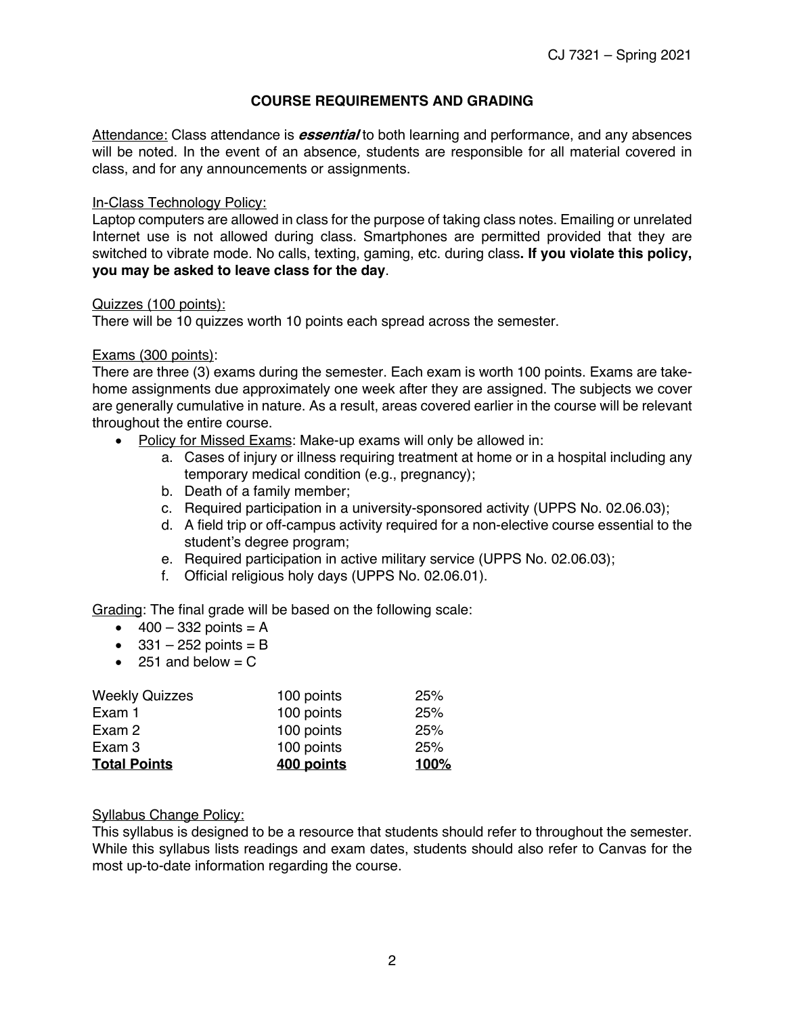# **COURSE REQUIREMENTS AND GRADING**

Attendance: Class attendance is **essential** to both learning and performance, and any absences will be noted. In the event of an absence*,* students are responsible for all material covered in class, and for any announcements or assignments.

## In-Class Technology Policy:

Laptop computers are allowed in class for the purpose of taking class notes. Emailing or unrelated Internet use is not allowed during class. Smartphones are permitted provided that they are switched to vibrate mode. No calls, texting, gaming, etc. during class**. If you violate this policy, you may be asked to leave class for the day**.

## Quizzes (100 points):

There will be 10 quizzes worth 10 points each spread across the semester.

## Exams (300 points):

There are three (3) exams during the semester. Each exam is worth 100 points. Exams are takehome assignments due approximately one week after they are assigned. The subjects we cover are generally cumulative in nature. As a result, areas covered earlier in the course will be relevant throughout the entire course.

- Policy for Missed Exams: Make-up exams will only be allowed in:
	- a. Cases of injury or illness requiring treatment at home or in a hospital including any temporary medical condition (e.g., pregnancy);
	- b. Death of a family member;
	- c. Required participation in a university-sponsored activity (UPPS No. 02.06.03);
	- d. A field trip or off-campus activity required for a non-elective course essential to the student's degree program;
	- e. Required participation in active military service (UPPS No. 02.06.03);
	- f. Official religious holy days (UPPS No. 02.06.01).

Grading: The final grade will be based on the following scale:

- $400 332$  points = A
- $\bullet$  331 252 points = B
- 251 and below  $= C$

| <b>Total Points</b>   | 400 points | 100% |
|-----------------------|------------|------|
| Exam 3                | 100 points | 25%  |
| Exam 2                | 100 points | 25%  |
| Exam 1                | 100 points | 25%  |
| <b>Weekly Quizzes</b> | 100 points | 25%  |

### Syllabus Change Policy:

This syllabus is designed to be a resource that students should refer to throughout the semester. While this syllabus lists readings and exam dates, students should also refer to Canvas for the most up-to-date information regarding the course.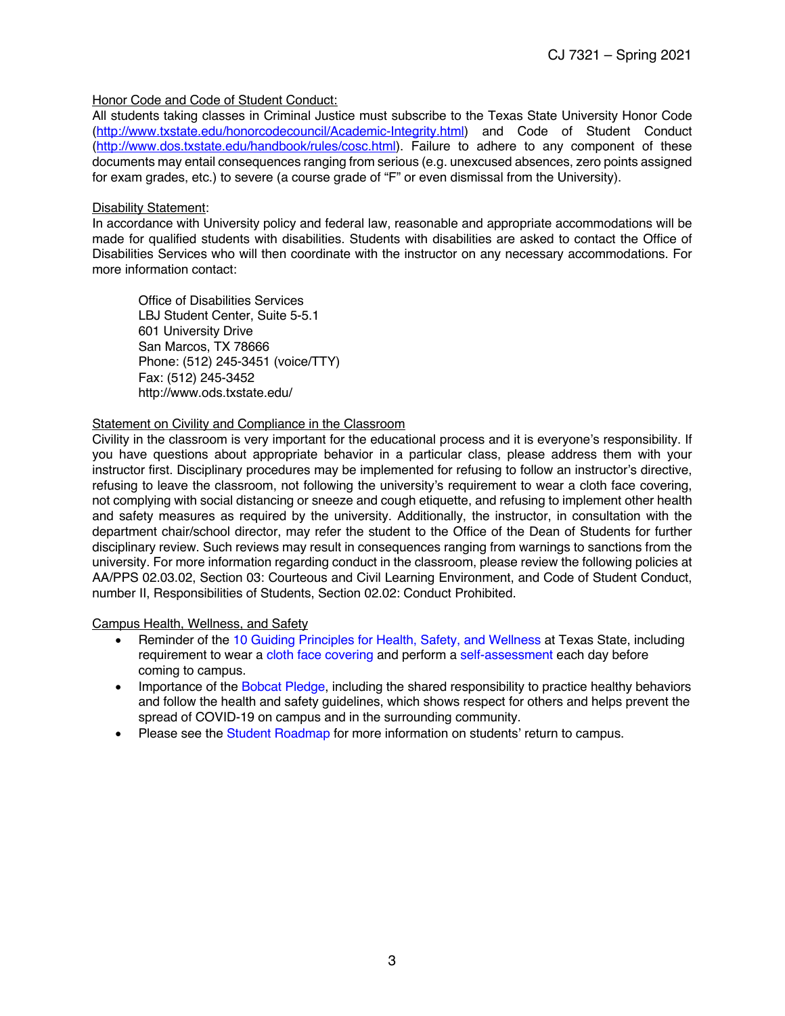#### Honor Code and Code of Student Conduct:

All students taking classes in Criminal Justice must subscribe to the Texas State University Honor Code (http://www.txstate.edu/honorcodecouncil/Academic-Integrity.html) and Code of Student Conduct (http://www.dos.txstate.edu/handbook/rules/cosc.html). Failure to adhere to any component of these documents may entail consequences ranging from serious (e.g. unexcused absences, zero points assigned for exam grades, etc.) to severe (a course grade of "F" or even dismissal from the University).

#### Disability Statement:

In accordance with University policy and federal law, reasonable and appropriate accommodations will be made for qualified students with disabilities. Students with disabilities are asked to contact the Office of Disabilities Services who will then coordinate with the instructor on any necessary accommodations. For more information contact:

Office of Disabilities Services LBJ Student Center, Suite 5-5.1 601 University Drive San Marcos, TX 78666 Phone: (512) 245-3451 (voice/TTY) Fax: (512) 245-3452 http://www.ods.txstate.edu/

#### Statement on Civility and Compliance in the Classroom

Civility in the classroom is very important for the educational process and it is everyone's responsibility. If you have questions about appropriate behavior in a particular class, please address them with your instructor first. Disciplinary procedures may be implemented for refusing to follow an instructor's directive, refusing to leave the classroom, not following the university's requirement to wear a cloth face covering, not complying with social distancing or sneeze and cough etiquette, and refusing to implement other health and safety measures as required by the university. Additionally, the instructor, in consultation with the department chair/school director, may refer the student to the Office of the Dean of Students for further disciplinary review. Such reviews may result in consequences ranging from warnings to sanctions from the university. For more information regarding conduct in the classroom, please review the following policies at AA/PPS 02.03.02, Section 03: Courteous and Civil Learning Environment, and Code of Student Conduct, number II, Responsibilities of Students, Section 02.02: Conduct Prohibited.

Campus Health, Wellness, and Safety

- Reminder of the 10 Guiding Principles for Health, Safety, and Wellness at Texas State, including requirement to wear a cloth face covering and perform a self-assessment each day before coming to campus.
- Importance of the Bobcat Pledge, including the shared responsibility to practice healthy behaviors and follow the health and safety guidelines, which shows respect for others and helps prevent the spread of COVID-19 on campus and in the surrounding community.
- Please see the Student Roadmap for more information on students' return to campus.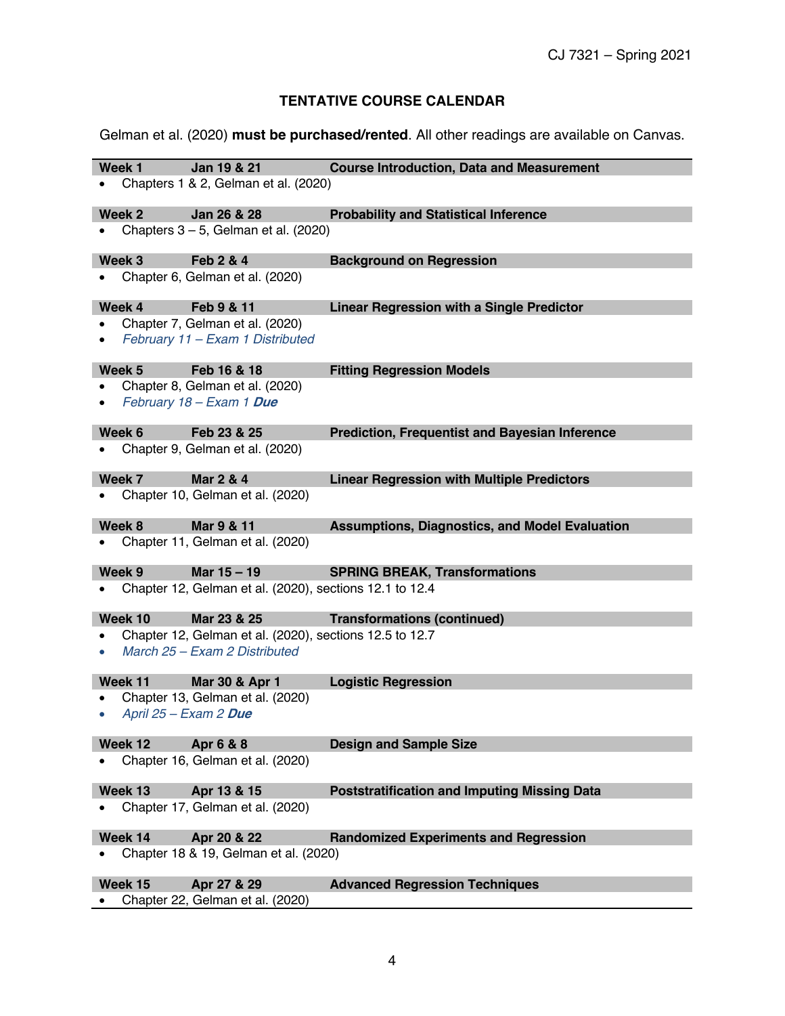# **TENTATIVE COURSE CALENDAR**

Gelman et al. (2020) **must be purchased/rented**. All other readings are available on Canvas.

| Week 1    | Jan 19 & 21                                                                              | <b>Course Introduction, Data and Measurement</b>      |
|-----------|------------------------------------------------------------------------------------------|-------------------------------------------------------|
|           | Chapters 1 & 2, Gelman et al. (2020)                                                     |                                                       |
| Week 2    | Jan 26 & 28                                                                              | <b>Probability and Statistical Inference</b>          |
|           | Chapters $3 - 5$ , Gelman et al. (2020)                                                  |                                                       |
| Week 3    | Feb 2 & 4                                                                                | <b>Background on Regression</b>                       |
|           | Chapter 6, Gelman et al. (2020)                                                          |                                                       |
| Week 4    | Feb 9 & 11                                                                               | <b>Linear Regression with a Single Predictor</b>      |
|           | Chapter 7, Gelman et al. (2020)                                                          |                                                       |
|           | February 11 - Exam 1 Distributed                                                         |                                                       |
| Week 5    | Feb 16 & 18                                                                              | <b>Fitting Regression Models</b>                      |
|           | Chapter 8, Gelman et al. (2020)                                                          |                                                       |
|           | February 18 - Exam 1 Due                                                                 |                                                       |
| Week 6    | Feb 23 & 25                                                                              | <b>Prediction, Frequentist and Bayesian Inference</b> |
|           | Chapter 9, Gelman et al. (2020)                                                          |                                                       |
| Week 7    | Mar 2 & 4                                                                                | <b>Linear Regression with Multiple Predictors</b>     |
|           | Chapter 10, Gelman et al. (2020)                                                         |                                                       |
| Week 8    | Mar 9 & 11                                                                               | <b>Assumptions, Diagnostics, and Model Evaluation</b> |
|           | Chapter 11, Gelman et al. (2020)                                                         |                                                       |
| Week 9    | Mar 15 - 19                                                                              | <b>SPRING BREAK, Transformations</b>                  |
|           | Chapter 12, Gelman et al. (2020), sections 12.1 to 12.4                                  |                                                       |
| Week 10   | Mar 23 & 25                                                                              | <b>Transformations (continued)</b>                    |
| $\bullet$ | Chapter 12, Gelman et al. (2020), sections 12.5 to 12.7<br>March 25 - Exam 2 Distributed |                                                       |
|           |                                                                                          |                                                       |
| Week 11   | Mar 30 & Apr 1                                                                           | <b>Logistic Regression</b>                            |
| ٠         | Chapter 13, Gelman et al. (2020)                                                         |                                                       |
| $\bullet$ | April 25 - Exam 2 Due                                                                    |                                                       |
| Week 12   | Apr 6 & 8                                                                                | <b>Design and Sample Size</b>                         |
|           | Chapter 16, Gelman et al. (2020)                                                         |                                                       |
| Week 13   | Apr 13 & 15                                                                              | <b>Poststratification and Imputing Missing Data</b>   |
|           | Chapter 17, Gelman et al. (2020)                                                         |                                                       |
| Week 14   | Apr 20 & 22                                                                              | <b>Randomized Experiments and Regression</b>          |
|           | Chapter 18 & 19, Gelman et al. (2020)                                                    |                                                       |
| Week 15   | Apr 27 & 29                                                                              | <b>Advanced Regression Techniques</b>                 |
|           | Chapter 22, Gelman et al. (2020)                                                         |                                                       |